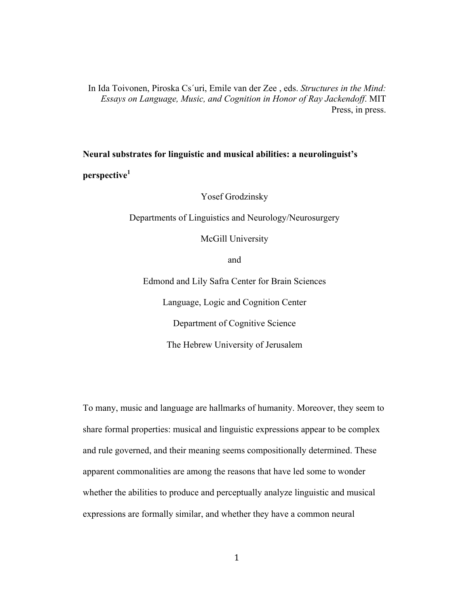In Ida Toivonen, Piroska Cs´uri, Emile van der Zee , eds. *Structures in the Mind: Essays on Language, Music, and Cognition in Honor of Ray Jackendoff*. MIT Press, in press.

**Neural substrates for linguistic and musical abilities: a neurolinguist's perspective<sup>1</sup>**

Yosef Grodzinsky

Departments of Linguistics and Neurology/Neurosurgery

McGill University

and

Edmond and Lily Safra Center for Brain Sciences

Language, Logic and Cognition Center

Department of Cognitive Science

The Hebrew University of Jerusalem

To many, music and language are hallmarks of humanity. Moreover, they seem to share formal properties: musical and linguistic expressions appear to be complex and rule governed, and their meaning seems compositionally determined. These apparent commonalities are among the reasons that have led some to wonder whether the abilities to produce and perceptually analyze linguistic and musical expressions are formally similar, and whether they have a common neural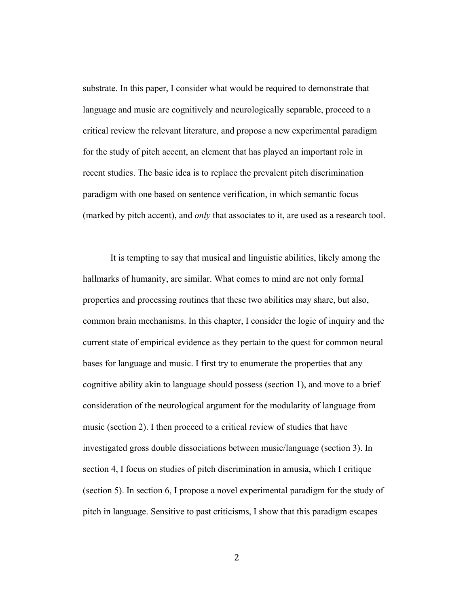substrate. In this paper, I consider what would be required to demonstrate that language and music are cognitively and neurologically separable, proceed to a critical review the relevant literature, and propose a new experimental paradigm for the study of pitch accent, an element that has played an important role in recent studies. The basic idea is to replace the prevalent pitch discrimination paradigm with one based on sentence verification, in which semantic focus (marked by pitch accent), and *only* that associates to it, are used as a research tool.

It is tempting to say that musical and linguistic abilities, likely among the hallmarks of humanity, are similar. What comes to mind are not only formal properties and processing routines that these two abilities may share, but also, common brain mechanisms. In this chapter, I consider the logic of inquiry and the current state of empirical evidence as they pertain to the quest for common neural bases for language and music. I first try to enumerate the properties that any cognitive ability akin to language should possess (section 1), and move to a brief consideration of the neurological argument for the modularity of language from music (section 2). I then proceed to a critical review of studies that have investigated gross double dissociations between music/language (section 3). In section 4, I focus on studies of pitch discrimination in amusia, which I critique (section 5). In section 6, I propose a novel experimental paradigm for the study of pitch in language. Sensitive to past criticisms, I show that this paradigm escapes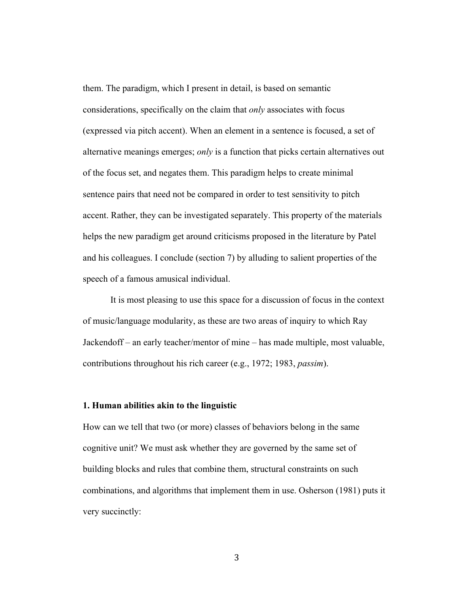them. The paradigm, which I present in detail, is based on semantic considerations, specifically on the claim that *only* associates with focus (expressed via pitch accent). When an element in a sentence is focused, a set of alternative meanings emerges; *only* is a function that picks certain alternatives out of the focus set, and negates them. This paradigm helps to create minimal sentence pairs that need not be compared in order to test sensitivity to pitch accent. Rather, they can be investigated separately. This property of the materials helps the new paradigm get around criticisms proposed in the literature by Patel and his colleagues. I conclude (section 7) by alluding to salient properties of the speech of a famous amusical individual.

It is most pleasing to use this space for a discussion of focus in the context of music/language modularity, as these are two areas of inquiry to which Ray Jackendoff – an early teacher/mentor of mine – has made multiple, most valuable, contributions throughout his rich career (e.g., 1972; 1983, *passim*).

### **1. Human abilities akin to the linguistic**

How can we tell that two (or more) classes of behaviors belong in the same cognitive unit? We must ask whether they are governed by the same set of building blocks and rules that combine them, structural constraints on such combinations, and algorithms that implement them in use. Osherson (1981) puts it very succinctly:

3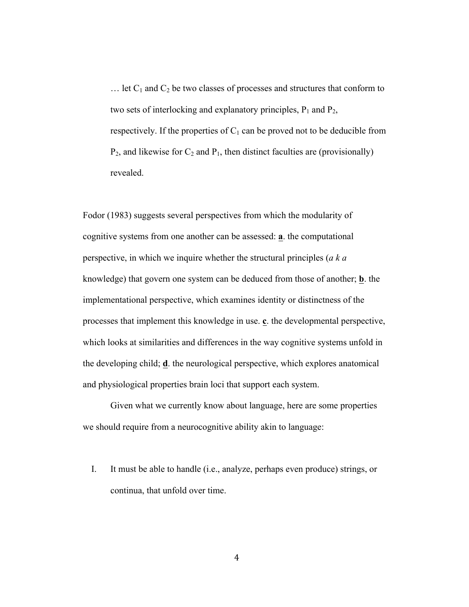$\ldots$  let C<sub>1</sub> and C<sub>2</sub> be two classes of processes and structures that conform to two sets of interlocking and explanatory principles,  $P_1$  and  $P_2$ , respectively. If the properties of  $C_1$  can be proved not to be deducible from  $P_2$ , and likewise for  $C_2$  and  $P_1$ , then distinct faculties are (provisionally) revealed.

Fodor (1983) suggests several perspectives from which the modularity of cognitive systems from one another can be assessed: **a**. the computational perspective, in which we inquire whether the structural principles (*a k a* knowledge) that govern one system can be deduced from those of another; **b**. the implementational perspective, which examines identity or distinctness of the processes that implement this knowledge in use. **c**. the developmental perspective, which looks at similarities and differences in the way cognitive systems unfold in the developing child; **d**. the neurological perspective, which explores anatomical and physiological properties brain loci that support each system.

Given what we currently know about language, here are some properties we should require from a neurocognitive ability akin to language:

I. It must be able to handle (i.e., analyze, perhaps even produce) strings, or continua, that unfold over time.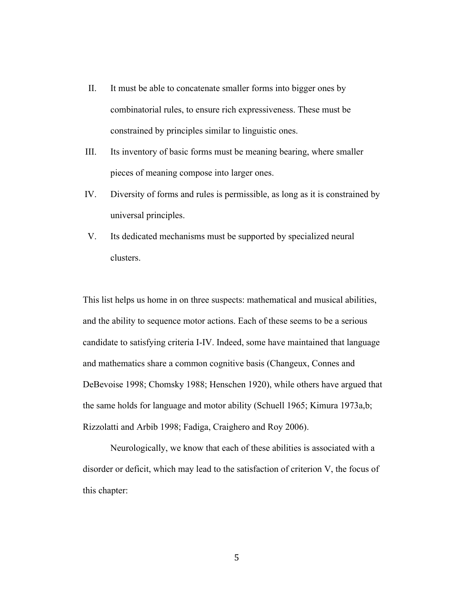- II. It must be able to concatenate smaller forms into bigger ones by combinatorial rules, to ensure rich expressiveness. These must be constrained by principles similar to linguistic ones.
- III. Its inventory of basic forms must be meaning bearing, where smaller pieces of meaning compose into larger ones.
- IV. Diversity of forms and rules is permissible, as long as it is constrained by universal principles.
- V. Its dedicated mechanisms must be supported by specialized neural clusters.

This list helps us home in on three suspects: mathematical and musical abilities, and the ability to sequence motor actions. Each of these seems to be a serious candidate to satisfying criteria I-IV. Indeed, some have maintained that language and mathematics share a common cognitive basis (Changeux, Connes and DeBevoise 1998; Chomsky 1988; Henschen 1920), while others have argued that the same holds for language and motor ability (Schuell 1965; Kimura 1973a,b; Rizzolatti and Arbib 1998; Fadiga, Craighero and Roy 2006).

Neurologically, we know that each of these abilities is associated with a disorder or deficit, which may lead to the satisfaction of criterion V, the focus of this chapter: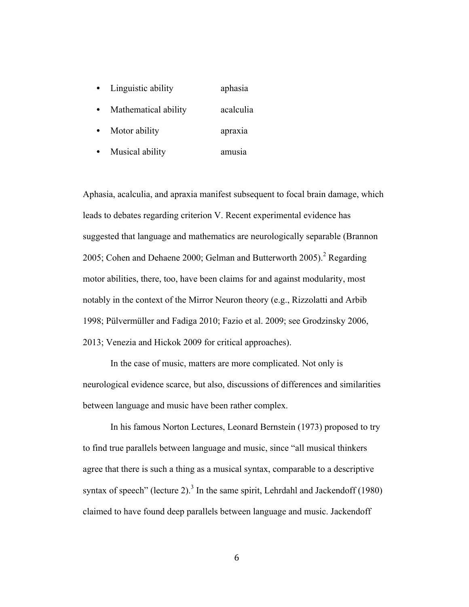- Linguistic ability aphasia
- Mathematical ability acalculia
- Motor ability apraxia
- Musical ability amusia

Aphasia, acalculia, and apraxia manifest subsequent to focal brain damage, which leads to debates regarding criterion V. Recent experimental evidence has suggested that language and mathematics are neurologically separable (Brannon 2005; Cohen and Dehaene 2000; Gelman and Butterworth 2005).<sup>2</sup> Regarding motor abilities, there, too, have been claims for and against modularity, most notably in the context of the Mirror Neuron theory (e.g., Rizzolatti and Arbib 1998; Pülvermüller and Fadiga 2010; Fazio et al. 2009; see Grodzinsky 2006, 2013; Venezia and Hickok 2009 for critical approaches).

In the case of music, matters are more complicated. Not only is neurological evidence scarce, but also, discussions of differences and similarities between language and music have been rather complex.

In his famous Norton Lectures, Leonard Bernstein (1973) proposed to try to find true parallels between language and music, since "all musical thinkers agree that there is such a thing as a musical syntax, comparable to a descriptive syntax of speech" (lecture 2). $3$  In the same spirit, Lehrdahl and Jackendoff (1980) claimed to have found deep parallels between language and music. Jackendoff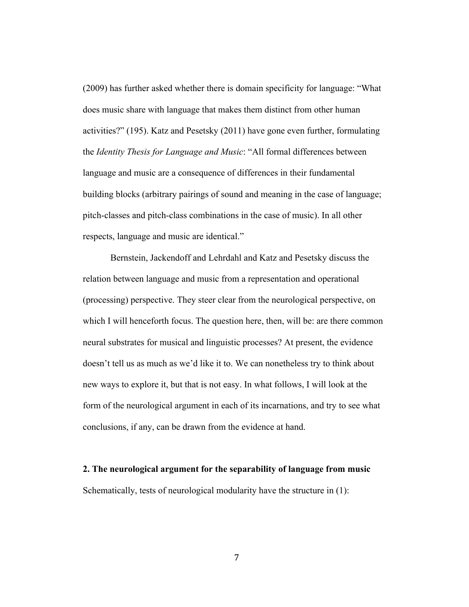(2009) has further asked whether there is domain specificity for language: "What does music share with language that makes them distinct from other human activities?" (195). Katz and Pesetsky (2011) have gone even further, formulating the *Identity Thesis for Language and Music*: "All formal differences between language and music are a consequence of differences in their fundamental building blocks (arbitrary pairings of sound and meaning in the case of language; pitch-classes and pitch-class combinations in the case of music). In all other respects, language and music are identical."

Bernstein, Jackendoff and Lehrdahl and Katz and Pesetsky discuss the relation between language and music from a representation and operational (processing) perspective. They steer clear from the neurological perspective, on which I will henceforth focus. The question here, then, will be: are there common neural substrates for musical and linguistic processes? At present, the evidence doesn't tell us as much as we'd like it to. We can nonetheless try to think about new ways to explore it, but that is not easy. In what follows, I will look at the form of the neurological argument in each of its incarnations, and try to see what conclusions, if any, can be drawn from the evidence at hand.

**2. The neurological argument for the separability of language from music** Schematically, tests of neurological modularity have the structure in (1):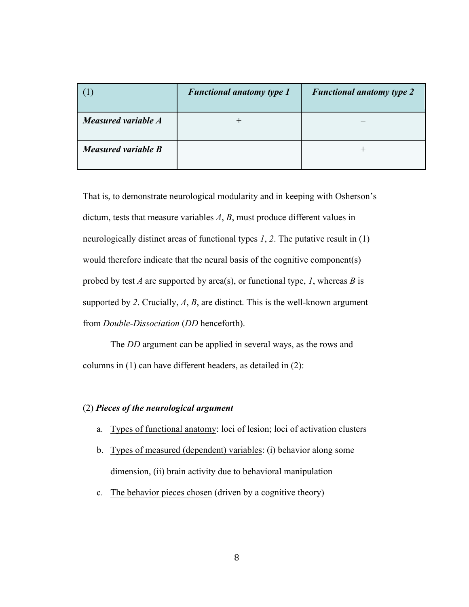|                     | <b>Functional anatomy type 1</b> | <b>Functional anatomy type 2</b> |
|---------------------|----------------------------------|----------------------------------|
| Measured variable A |                                  |                                  |
| Measured variable B |                                  |                                  |

That is, to demonstrate neurological modularity and in keeping with Osherson's dictum, tests that measure variables *A*, *B*, must produce different values in neurologically distinct areas of functional types *1*, *2*. The putative result in (1) would therefore indicate that the neural basis of the cognitive component(s) probed by test *A* are supported by area(s), or functional type, *1*, whereas *B* is supported by *2*. Crucially, *A*, *B*, are distinct. This is the well-known argument from *Double-Dissociation* (*DD* henceforth).

The *DD* argument can be applied in several ways, as the rows and columns in (1) can have different headers, as detailed in (2):

### (2) *Pieces of the neurological argument*

- a. Types of functional anatomy: loci of lesion; loci of activation clusters
- b. Types of measured (dependent) variables: (i) behavior along some dimension, (ii) brain activity due to behavioral manipulation
- c. The behavior pieces chosen (driven by a cognitive theory)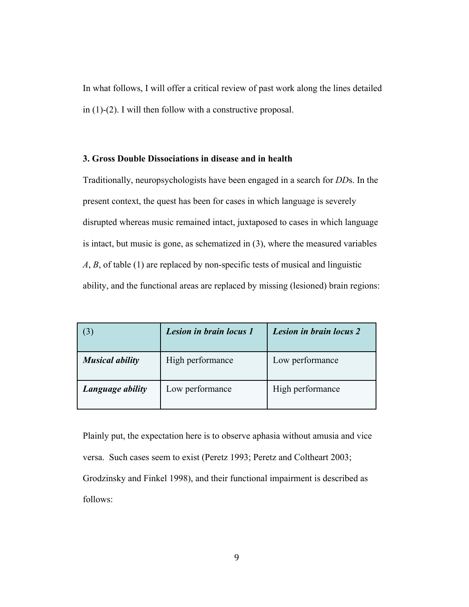In what follows, I will offer a critical review of past work along the lines detailed in (1)-(2). I will then follow with a constructive proposal.

#### **3. Gross Double Dissociations in disease and in health**

Traditionally, neuropsychologists have been engaged in a search for *DD*s. In the present context, the quest has been for cases in which language is severely disrupted whereas music remained intact, juxtaposed to cases in which language is intact, but music is gone, as schematized in (3), where the measured variables *A*, *B*, of table (1) are replaced by non-specific tests of musical and linguistic ability, and the functional areas are replaced by missing (lesioned) brain regions:

| $\mathfrak{Z}$         | Lesion in brain locus 1 | Lesion in brain locus 2 |
|------------------------|-------------------------|-------------------------|
| <b>Musical ability</b> | High performance        | Low performance         |
| Language ability       | Low performance         | High performance        |

Plainly put, the expectation here is to observe aphasia without amusia and vice versa. Such cases seem to exist (Peretz 1993; Peretz and Coltheart 2003; Grodzinsky and Finkel 1998), and their functional impairment is described as follows: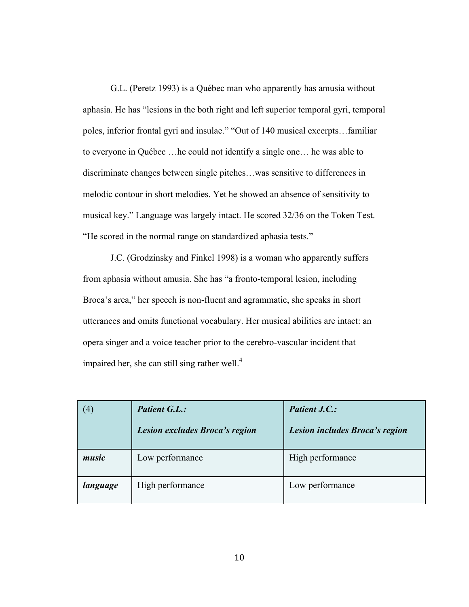G.L. (Peretz 1993) is a Québec man who apparently has amusia without aphasia. He has "lesions in the both right and left superior temporal gyri, temporal poles, inferior frontal gyri and insulae." "Out of 140 musical excerpts…familiar to everyone in Québec …he could not identify a single one… he was able to discriminate changes between single pitches…was sensitive to differences in melodic contour in short melodies. Yet he showed an absence of sensitivity to musical key." Language was largely intact. He scored 32/36 on the Token Test. "He scored in the normal range on standardized aphasia tests."

J.C. (Grodzinsky and Finkel 1998) is a woman who apparently suffers from aphasia without amusia. She has "a fronto-temporal lesion, including Broca's area," her speech is non-fluent and agrammatic, she speaks in short utterances and omits functional vocabulary. Her musical abilities are intact: an opera singer and a voice teacher prior to the cerebro-vascular incident that impaired her, she can still sing rather well.<sup>4</sup>

| $\left( 4\right)$ | <b>Patient G.L.:</b>           | <b>Patient J.C.:</b>           |
|-------------------|--------------------------------|--------------------------------|
|                   | Lesion excludes Broca's region | Lesion includes Broca's region |
| music             | Low performance                | High performance               |
| language          | High performance               | Low performance                |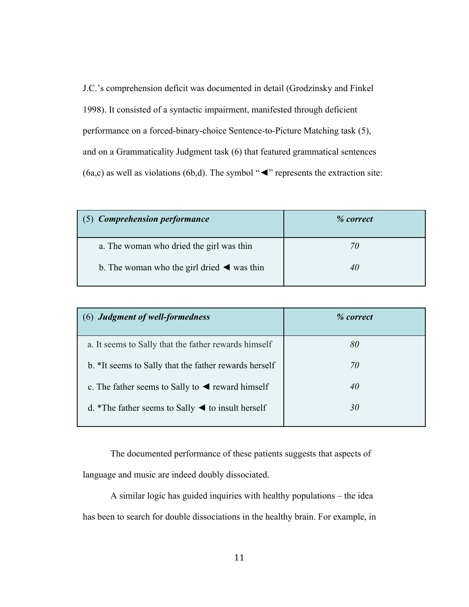J.C.'s comprehension deficit was documented in detail (Grodzinsky and Finkel 1998). It consisted of a syntactic impairment, manifested through deficient performance on a forced-binary-choice Sentence-to-Picture Matching task (5), and on a Grammaticality Judgment task (6) that featured grammatical sentences (6a,c) as well as violations (6b,d). The symbol "**◄**" represents the extraction site:

| (5) Comprehension performance                                 | % correct |
|---------------------------------------------------------------|-----------|
| a. The woman who dried the girl was thin                      |           |
| b. The woman who the girl dried $\blacktriangleleft$ was thin |           |

| (6) Judgment of well-formedness                                      | % correct |
|----------------------------------------------------------------------|-----------|
| a. It seems to Sally that the father rewards himself                 | 80        |
| b. *It seems to Sally that the father rewards herself                | 70        |
| c. The father seems to Sally to $\triangleleft$ reward himself       | 40        |
| d. *The father seems to Sally $\blacktriangleleft$ to insult herself | 30        |

The documented performance of these patients suggests that aspects of language and music are indeed doubly dissociated.

A similar logic has guided inquiries with healthy populations – the idea has been to search for double dissociations in the healthy brain. For example, in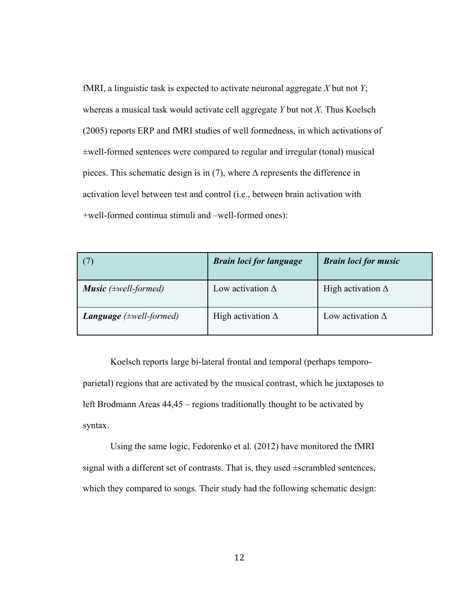fMRI, a linguistic task is expected to activate neuronal aggregate *X* but not *Y*; whereas a musical task would activate cell aggregate *Y* but not *X*. Thus Koelsch (2005) reports ERP and fMRI studies of well formedness, in which activations of ±well-formed sentences were compared to regular and irregular (tonal) musical pieces. This schematic design is in (7), where  $\Delta$  represents the difference in activation level between test and control (i.e., between brain activation with +well-formed continua stimuli and –well-formed ones):

| (7)                                 | <b>Brain loci for language</b> | <b>Brain loci for music</b> |
|-------------------------------------|--------------------------------|-----------------------------|
| <b>Music</b> ( $\pm$ well-formed)   | Low activation $\Delta$        | High activation $\Delta$    |
| <b>Language</b> $(\pm well-formed)$ | High activation $\Delta$       | Low activation $\Delta$     |

Koelsch reports large bi-lateral frontal and temporal (perhaps temporoparietal) regions that are activated by the musical contrast, which he juxtaposes to left Brodmann Areas 44,45 – regions traditionally thought to be activated by syntax.

Using the same logic, Fedorenko et al. (2012) have monitored the fMRI signal with a different set of contrasts. That is, they used ±scrambled sentences, which they compared to songs. Their study had the following schematic design: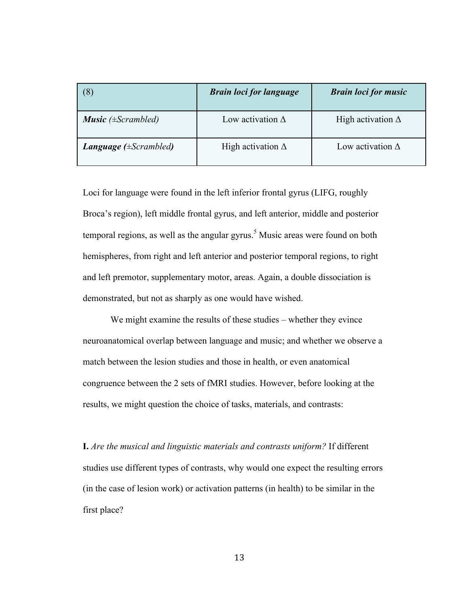| (8)                                | <b>Brain loci for language</b> | <b>Brain loci for music</b> |
|------------------------------------|--------------------------------|-----------------------------|
| <b>Music</b> ( $\pm$ Scrambled)    | Low activation $\Delta$        | High activation $\Delta$    |
| <b>Language</b> ( $\pm$ Scrambled) | High activation $\Delta$       | Low activation $\Delta$     |

Loci for language were found in the left inferior frontal gyrus (LIFG, roughly Broca's region), left middle frontal gyrus, and left anterior, middle and posterior temporal regions, as well as the angular gyrus. <sup>5</sup> Music areas were found on both hemispheres, from right and left anterior and posterior temporal regions, to right and left premotor, supplementary motor, areas. Again, a double dissociation is demonstrated, but not as sharply as one would have wished.

We might examine the results of these studies – whether they evince neuroanatomical overlap between language and music; and whether we observe a match between the lesion studies and those in health, or even anatomical congruence between the 2 sets of fMRI studies. However, before looking at the results, we might question the choice of tasks, materials, and contrasts:

**I.** *Are the musical and linguistic materials and contrasts uniform?* If different studies use different types of contrasts, why would one expect the resulting errors (in the case of lesion work) or activation patterns (in health) to be similar in the first place?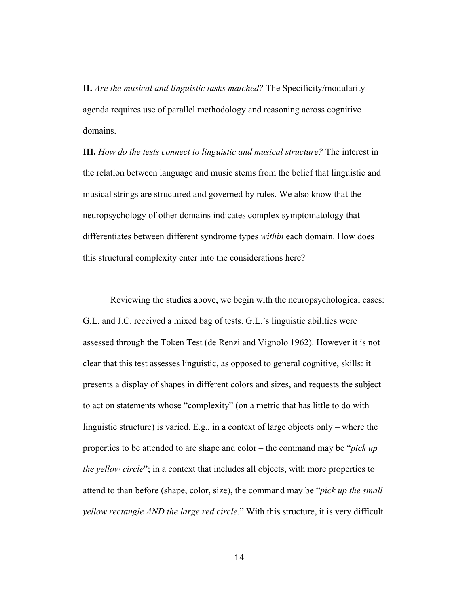**II.** *Are the musical and linguistic tasks matched?* The Specificity/modularity agenda requires use of parallel methodology and reasoning across cognitive domains.

**III.** *How do the tests connect to linguistic and musical structure?* The interest in the relation between language and music stems from the belief that linguistic and musical strings are structured and governed by rules. We also know that the neuropsychology of other domains indicates complex symptomatology that differentiates between different syndrome types *within* each domain. How does this structural complexity enter into the considerations here?

Reviewing the studies above, we begin with the neuropsychological cases: G.L. and J.C. received a mixed bag of tests. G.L.'s linguistic abilities were assessed through the Token Test (de Renzi and Vignolo 1962). However it is not clear that this test assesses linguistic, as opposed to general cognitive, skills: it presents a display of shapes in different colors and sizes, and requests the subject to act on statements whose "complexity" (on a metric that has little to do with linguistic structure) is varied. E.g., in a context of large objects only – where the properties to be attended to are shape and color – the command may be "*pick up the yellow circle*"; in a context that includes all objects, with more properties to attend to than before (shape, color, size), the command may be "*pick up the small yellow rectangle AND the large red circle.*" With this structure, it is very difficult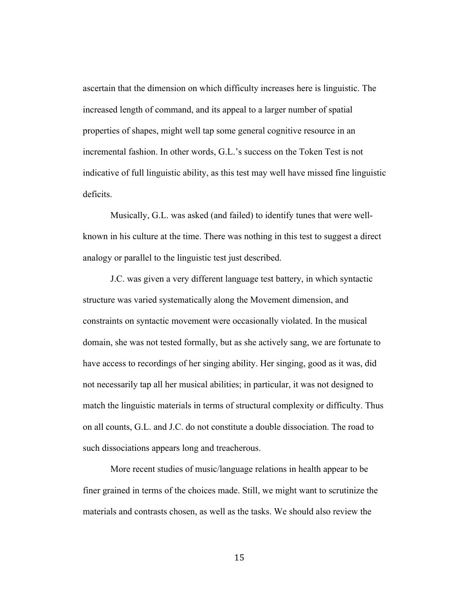ascertain that the dimension on which difficulty increases here is linguistic. The increased length of command, and its appeal to a larger number of spatial properties of shapes, might well tap some general cognitive resource in an incremental fashion. In other words, G.L.'s success on the Token Test is not indicative of full linguistic ability, as this test may well have missed fine linguistic deficits.

Musically, G.L. was asked (and failed) to identify tunes that were wellknown in his culture at the time. There was nothing in this test to suggest a direct analogy or parallel to the linguistic test just described.

J.C. was given a very different language test battery, in which syntactic structure was varied systematically along the Movement dimension, and constraints on syntactic movement were occasionally violated. In the musical domain, she was not tested formally, but as she actively sang, we are fortunate to have access to recordings of her singing ability. Her singing, good as it was, did not necessarily tap all her musical abilities; in particular, it was not designed to match the linguistic materials in terms of structural complexity or difficulty. Thus on all counts, G.L. and J.C. do not constitute a double dissociation. The road to such dissociations appears long and treacherous.

More recent studies of music/language relations in health appear to be finer grained in terms of the choices made. Still, we might want to scrutinize the materials and contrasts chosen, as well as the tasks. We should also review the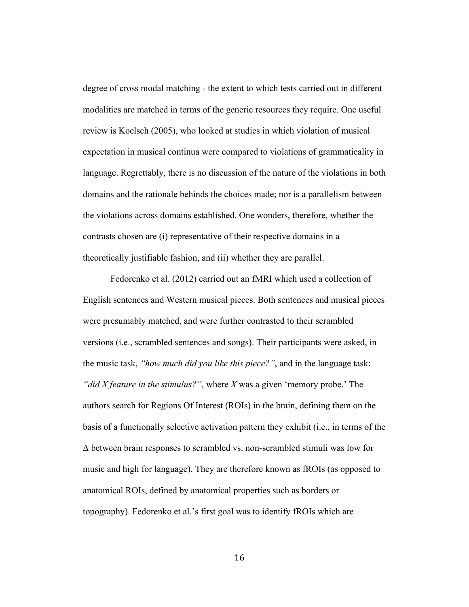degree of cross modal matching - the extent to which tests carried out in different modalities are matched in terms of the generic resources they require. One useful review is Koelsch (2005), who looked at studies in which violation of musical expectation in musical continua were compared to violations of grammaticality in language. Regrettably, there is no discussion of the nature of the violations in both domains and the rationale behinds the choices made; nor is a parallelism between the violations across domains established. One wonders, therefore, whether the contrasts chosen are (i) representative of their respective domains in a theoretically justifiable fashion, and (ii) whether they are parallel.

Fedorenko et al. (2012) carried out an fMRI which used a collection of English sentences and Western musical pieces. Both sentences and musical pieces were presumably matched, and were further contrasted to their scrambled versions (i.e., scrambled sentences and songs). Their participants were asked, in the music task, *"how much did you like this piece?"*, and in the language task: *"did X feature in the stimulus?"*, where *X* was a given 'memory probe.' The authors search for Regions Of Interest (ROIs) in the brain, defining them on the basis of a functionally selective activation pattern they exhibit (i.e., in terms of the  $\Delta$  between brain responses to scrambled vs. non-scrambled stimuli was low for music and high for language). They are therefore known as fROIs (as opposed to anatomical ROIs, defined by anatomical properties such as borders or topography). Fedorenko et al.'s first goal was to identify fROIs which are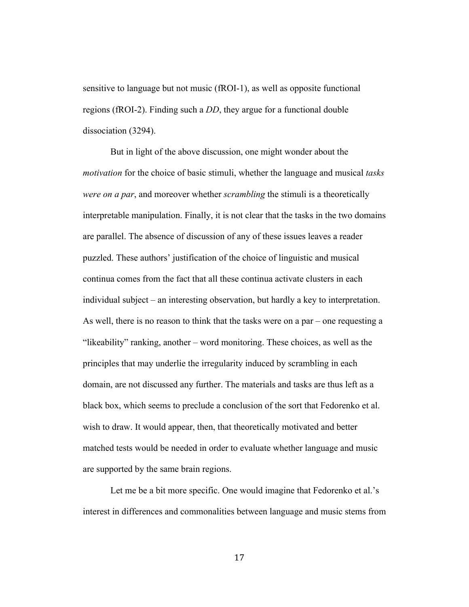sensitive to language but not music (fROI-1), as well as opposite functional regions (fROI-2). Finding such a *DD*, they argue for a functional double dissociation (3294).

But in light of the above discussion, one might wonder about the *motivation* for the choice of basic stimuli, whether the language and musical *tasks were on a par*, and moreover whether *scrambling* the stimuli is a theoretically interpretable manipulation. Finally, it is not clear that the tasks in the two domains are parallel. The absence of discussion of any of these issues leaves a reader puzzled. These authors' justification of the choice of linguistic and musical continua comes from the fact that all these continua activate clusters in each individual subject – an interesting observation, but hardly a key to interpretation. As well, there is no reason to think that the tasks were on a par – one requesting a "likeability" ranking, another – word monitoring. These choices, as well as the principles that may underlie the irregularity induced by scrambling in each domain, are not discussed any further. The materials and tasks are thus left as a black box, which seems to preclude a conclusion of the sort that Fedorenko et al. wish to draw. It would appear, then, that theoretically motivated and better matched tests would be needed in order to evaluate whether language and music are supported by the same brain regions.

Let me be a bit more specific. One would imagine that Fedorenko et al.'s interest in differences and commonalities between language and music stems from

17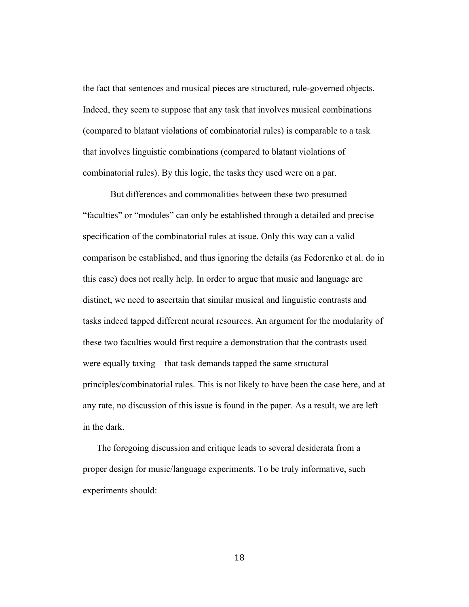the fact that sentences and musical pieces are structured, rule-governed objects. Indeed, they seem to suppose that any task that involves musical combinations (compared to blatant violations of combinatorial rules) is comparable to a task that involves linguistic combinations (compared to blatant violations of combinatorial rules). By this logic, the tasks they used were on a par.

But differences and commonalities between these two presumed "faculties" or "modules" can only be established through a detailed and precise specification of the combinatorial rules at issue. Only this way can a valid comparison be established, and thus ignoring the details (as Fedorenko et al. do in this case) does not really help. In order to argue that music and language are distinct, we need to ascertain that similar musical and linguistic contrasts and tasks indeed tapped different neural resources. An argument for the modularity of these two faculties would first require a demonstration that the contrasts used were equally taxing – that task demands tapped the same structural principles/combinatorial rules. This is not likely to have been the case here, and at any rate, no discussion of this issue is found in the paper. As a result, we are left in the dark.

The foregoing discussion and critique leads to several desiderata from a proper design for music/language experiments. To be truly informative, such experiments should:

18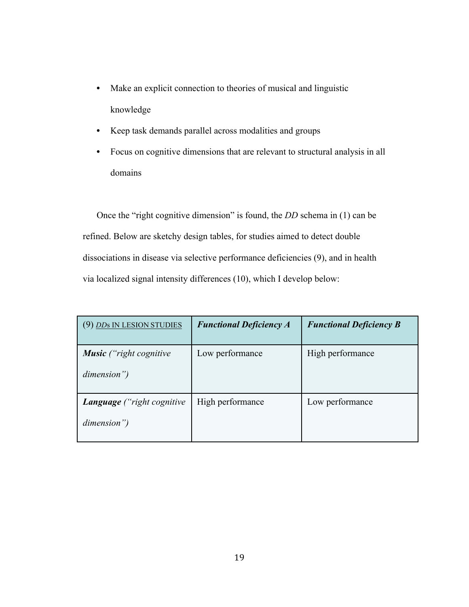- Make an explicit connection to theories of musical and linguistic knowledge
- Keep task demands parallel across modalities and groups
- Focus on cognitive dimensions that are relevant to structural analysis in all domains

Once the "right cognitive dimension" is found, the *DD* schema in (1) can be refined. Below are sketchy design tables, for studies aimed to detect double dissociations in disease via selective performance deficiencies (9), and in health via localized signal intensity differences (10), which I develop below:

| (9) DDs IN LESION STUDIES                      | <b>Functional Deficiency A</b> | <b>Functional Deficiency B</b> |
|------------------------------------------------|--------------------------------|--------------------------------|
| <b>Music</b> ("right cognitive"<br>dimension") | Low performance                | High performance               |
| Language ("right cognitive<br>dimension")      | High performance               | Low performance                |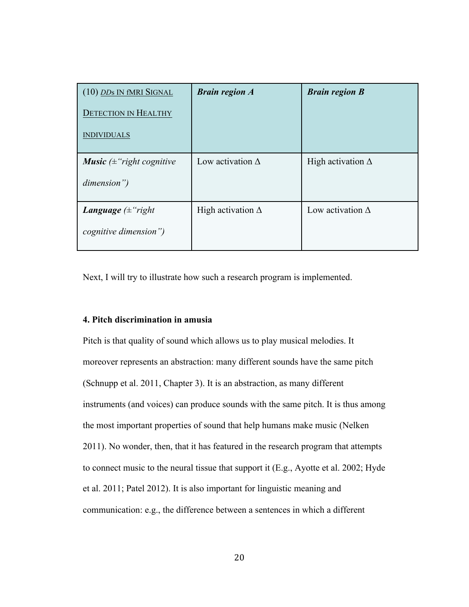| (10) DDs IN fMRI SIGNAL<br><b>DETECTION IN HEALTHY</b><br><b>INDIVIDUALS</b> | <b>Brain region A</b>    | <b>Brain region B</b>    |
|------------------------------------------------------------------------------|--------------------------|--------------------------|
| <b>Music</b> ( $\pm$ "right cognitive<br>dimension")                         | Low activation $\Delta$  | High activation $\Delta$ |
| <b>Language</b> $(\pm$ "right<br><i>cognitive dimension</i> ")               | High activation $\Delta$ | Low activation $\Delta$  |

Next, I will try to illustrate how such a research program is implemented.

### **4. Pitch discrimination in amusia**

Pitch is that quality of sound which allows us to play musical melodies. It moreover represents an abstraction: many different sounds have the same pitch (Schnupp et al. 2011, Chapter 3). It is an abstraction, as many different instruments (and voices) can produce sounds with the same pitch. It is thus among the most important properties of sound that help humans make music (Nelken 2011). No wonder, then, that it has featured in the research program that attempts to connect music to the neural tissue that support it (E.g., Ayotte et al. 2002; Hyde et al. 2011; Patel 2012). It is also important for linguistic meaning and communication: e.g., the difference between a sentences in which a different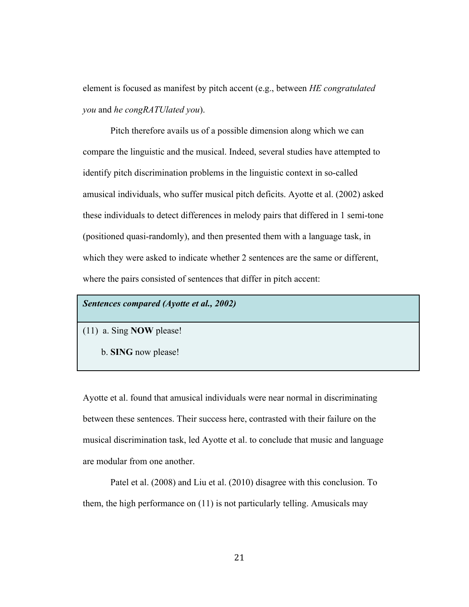element is focused as manifest by pitch accent (e.g., between *HE congratulated you* and *he congRATUlated you*).

Pitch therefore avails us of a possible dimension along which we can compare the linguistic and the musical. Indeed, several studies have attempted to identify pitch discrimination problems in the linguistic context in so-called amusical individuals, who suffer musical pitch deficits. Ayotte et al. (2002) asked these individuals to detect differences in melody pairs that differed in 1 semi-tone (positioned quasi-randomly), and then presented them with a language task, in which they were asked to indicate whether 2 sentences are the same or different, where the pairs consisted of sentences that differ in pitch accent:

# *Sentences compared (Ayotte et al., 2002)*

(11) a. Sing **NOW** please!

b. **SING** now please!

Ayotte et al. found that amusical individuals were near normal in discriminating between these sentences. Their success here, contrasted with their failure on the musical discrimination task, led Ayotte et al. to conclude that music and language are modular from one another.

Patel et al. (2008) and Liu et al. (2010) disagree with this conclusion. To them, the high performance on (11) is not particularly telling. Amusicals may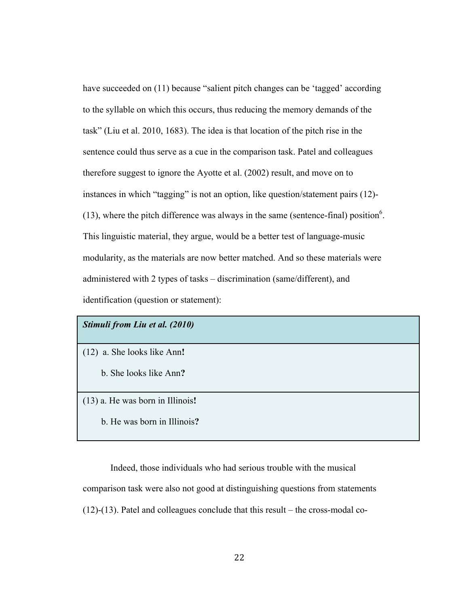have succeeded on (11) because "salient pitch changes can be 'tagged' according to the syllable on which this occurs, thus reducing the memory demands of the task" (Liu et al. 2010, 1683). The idea is that location of the pitch rise in the sentence could thus serve as a cue in the comparison task. Patel and colleagues therefore suggest to ignore the Ayotte et al. (2002) result, and move on to instances in which "tagging" is not an option, like question/statement pairs (12)-  $(13)$ , where the pitch difference was always in the same (sentence-final) position<sup>6</sup>. This linguistic material, they argue, would be a better test of language-music modularity, as the materials are now better matched. And so these materials were administered with 2 types of tasks – discrimination (same/different), and identification (question or statement):

## *Stimuli from Liu et al. (2010)*

- (12) a. She looks like Ann**!**
	- b. She looks like Ann**?**
- (13) a. He was born in Illinois**!**
	- b. He was born in Illinois**?**

Indeed, those individuals who had serious trouble with the musical comparison task were also not good at distinguishing questions from statements (12)-(13). Patel and colleagues conclude that this result – the cross-modal co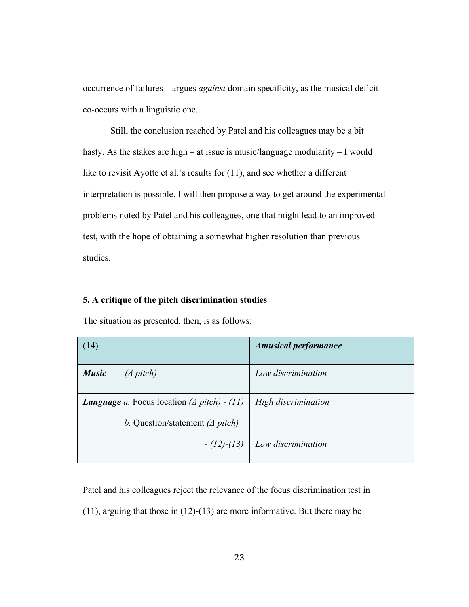occurrence of failures – argues *against* domain specificity, as the musical deficit co-occurs with a linguistic one.

Still, the conclusion reached by Patel and his colleagues may be a bit hasty. As the stakes are high – at issue is music/language modularity – I would like to revisit Ayotte et al.'s results for (11), and see whether a different interpretation is possible. I will then propose a way to get around the experimental problems noted by Patel and his colleagues, one that might lead to an improved test, with the hope of obtaining a somewhat higher resolution than previous studies.

# **5. A critique of the pitch discrimination studies**

The situation as presented, then, is as follows:

| (14)                                                        | <b>Amusical performance</b> |
|-------------------------------------------------------------|-----------------------------|
| <b>Music</b><br>$(\Delta$ pitch)                            | Low discrimination          |
| <b>Language</b> a. Focus location $(\Delta$ pitch) - $(11)$ | High discrimination         |
| b. Question/statement ( $\triangle$ pitch)                  |                             |
| $-(12)-(13)$                                                | Low discrimination          |

Patel and his colleagues reject the relevance of the focus discrimination test in

(11), arguing that those in (12)-(13) are more informative. But there may be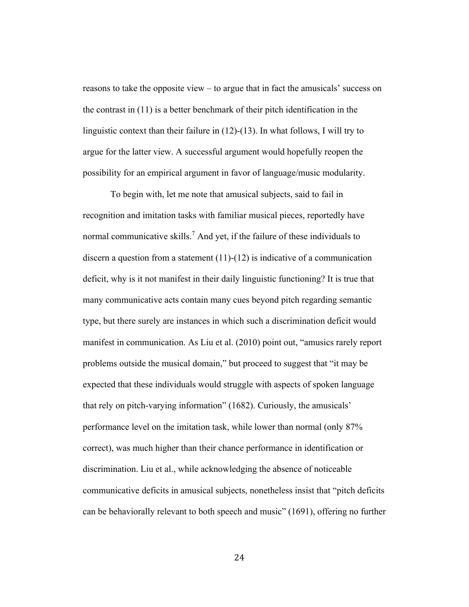reasons to take the opposite view – to argue that in fact the amusicals' success on the contrast in (11) is a better benchmark of their pitch identification in the linguistic context than their failure in (12)-(13). In what follows, I will try to argue for the latter view. A successful argument would hopefully reopen the possibility for an empirical argument in favor of language/music modularity.

To begin with, let me note that amusical subjects, said to fail in recognition and imitation tasks with familiar musical pieces, reportedly have normal communicative skills.<sup>7</sup> And yet, if the failure of these individuals to discern a question from a statement (11)-(12) is indicative of a communication deficit, why is it not manifest in their daily linguistic functioning? It is true that many communicative acts contain many cues beyond pitch regarding semantic type, but there surely are instances in which such a discrimination deficit would manifest in communication. As Liu et al. (2010) point out, "amusics rarely report problems outside the musical domain," but proceed to suggest that "it may be expected that these individuals would struggle with aspects of spoken language that rely on pitch-varying information" (1682). Curiously, the amusicals' performance level on the imitation task, while lower than normal (only 87% correct), was much higher than their chance performance in identification or discrimination. Liu et al., while acknowledging the absence of noticeable communicative deficits in amusical subjects, nonetheless insist that "pitch deficits can be behaviorally relevant to both speech and music" (1691), offering no further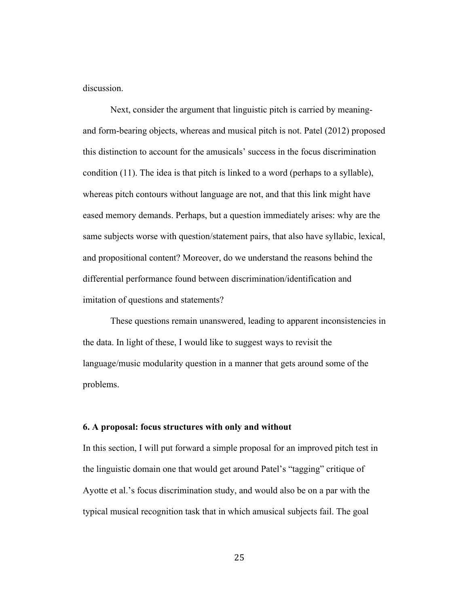discussion.

Next, consider the argument that linguistic pitch is carried by meaningand form-bearing objects, whereas and musical pitch is not. Patel (2012) proposed this distinction to account for the amusicals' success in the focus discrimination condition (11). The idea is that pitch is linked to a word (perhaps to a syllable), whereas pitch contours without language are not, and that this link might have eased memory demands. Perhaps, but a question immediately arises: why are the same subjects worse with question/statement pairs, that also have syllabic, lexical, and propositional content? Moreover, do we understand the reasons behind the differential performance found between discrimination/identification and imitation of questions and statements?

These questions remain unanswered, leading to apparent inconsistencies in the data. In light of these, I would like to suggest ways to revisit the language/music modularity question in a manner that gets around some of the problems.

#### **6. A proposal: focus structures with only and without**

In this section, I will put forward a simple proposal for an improved pitch test in the linguistic domain one that would get around Patel's "tagging" critique of Ayotte et al.'s focus discrimination study, and would also be on a par with the typical musical recognition task that in which amusical subjects fail. The goal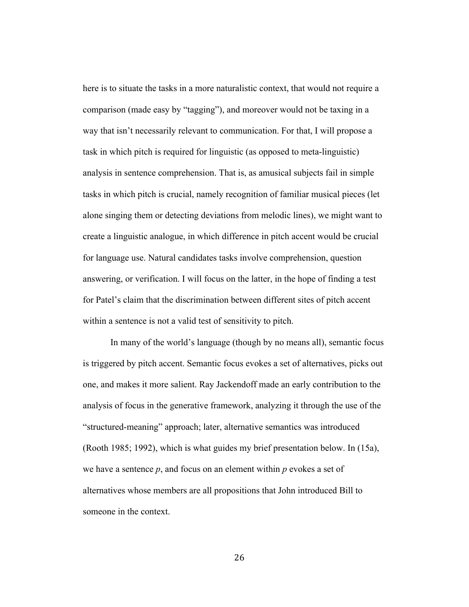here is to situate the tasks in a more naturalistic context, that would not require a comparison (made easy by "tagging"), and moreover would not be taxing in a way that isn't necessarily relevant to communication. For that, I will propose a task in which pitch is required for linguistic (as opposed to meta-linguistic) analysis in sentence comprehension. That is, as amusical subjects fail in simple tasks in which pitch is crucial, namely recognition of familiar musical pieces (let alone singing them or detecting deviations from melodic lines), we might want to create a linguistic analogue, in which difference in pitch accent would be crucial for language use. Natural candidates tasks involve comprehension, question answering, or verification. I will focus on the latter, in the hope of finding a test for Patel's claim that the discrimination between different sites of pitch accent within a sentence is not a valid test of sensitivity to pitch.

In many of the world's language (though by no means all), semantic focus is triggered by pitch accent. Semantic focus evokes a set of alternatives, picks out one, and makes it more salient. Ray Jackendoff made an early contribution to the analysis of focus in the generative framework, analyzing it through the use of the "structured-meaning" approach; later, alternative semantics was introduced (Rooth 1985; 1992), which is what guides my brief presentation below. In (15a), we have a sentence *p*, and focus on an element within *p* evokes a set of alternatives whose members are all propositions that John introduced Bill to someone in the context.

26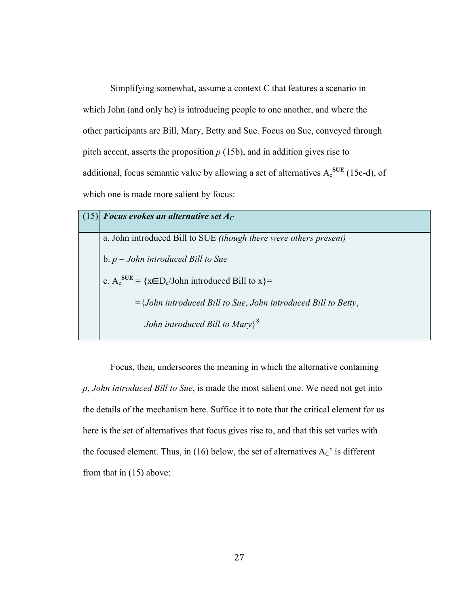Simplifying somewhat, assume a context C that features a scenario in which John (and only he) is introducing people to one another, and where the other participants are Bill, Mary, Betty and Sue. Focus on Sue, conveyed through pitch accent, asserts the proposition *p* (15b), and in addition gives rise to additional, focus semantic value by allowing a set of alternatives  $A_c^{SUE}$  (15c-d), of which one is made more salient by focus:

| (15) Focus evokes an alternative set $A_C$                                   |
|------------------------------------------------------------------------------|
| a. John introduced Bill to SUE <i>(though there were others present)</i>     |
| b. $p = John$ introduced Bill to Sue                                         |
| c. $A_c^{SUE} = \{x \in D_e/John \text{ introduced Bill to } x\}$            |
| $=\{John\ introduced\ Bill\ to\ Sue\, John\ introduced\ Bill\ to\ Betty\},\$ |
| John introduced Bill to Mary $\}$ <sup>8</sup>                               |

Focus, then, underscores the meaning in which the alternative containing *p*, *John introduced Bill to Sue*, is made the most salient one. We need not get into the details of the mechanism here. Suffice it to note that the critical element for us here is the set of alternatives that focus gives rise to, and that this set varies with the focused element. Thus, in (16) below, the set of alternatives  $A_C$ ' is different from that in (15) above: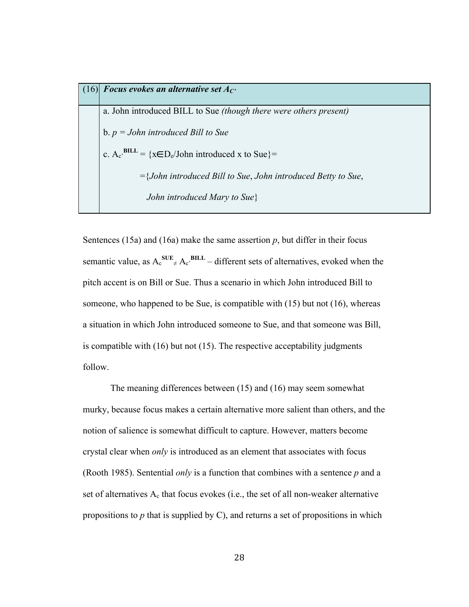$(16)$  *Focus evokes an alternative set*  $A_C$ a. John introduced BILL to Sue *(though there were others present)* b. *p = John introduced Bill to Sue* c.  $A_c$ <sup>BILL</sup> = { $x \in D_e$ /John introduced x to Sue}= ={*John introduced Bill to Sue*, *John introduced Betty to Sue*, *John introduced Mary to Sue*}

Sentences (15a) and (16a) make the same assertion  $p$ , but differ in their focus semantic value, as  $A_c^{SUE} \neq A_c^{BILL}$  – different sets of alternatives, evoked when the pitch accent is on Bill or Sue. Thus a scenario in which John introduced Bill to someone, who happened to be Sue, is compatible with (15) but not (16), whereas a situation in which John introduced someone to Sue, and that someone was Bill, is compatible with (16) but not (15). The respective acceptability judgments follow.

The meaning differences between (15) and (16) may seem somewhat murky, because focus makes a certain alternative more salient than others, and the notion of salience is somewhat difficult to capture. However, matters become crystal clear when *only* is introduced as an element that associates with focus (Rooth 1985). Sentential *only* is a function that combines with a sentence *p* and a set of alternatives  $A_c$  that focus evokes (i.e., the set of all non-weaker alternative propositions to *p* that is supplied by C), and returns a set of propositions in which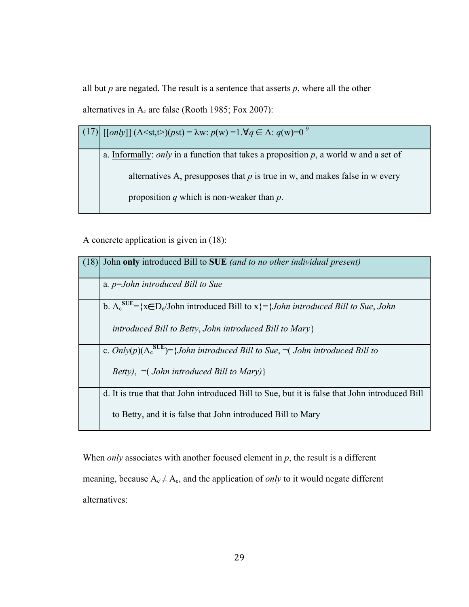all but  $p$  are negated. The result is a sentence that asserts  $p$ , where all the other alternatives in  $A_c$  are false (Rooth 1985; Fox 2007):

| $(17)$ [[only]] (A <st,t>)(pst) = <math>\lambda</math>w: <math>p(w) = 1.\forall q \in A</math>: <math>q(w)=0^\circ</math></st,t> |
|----------------------------------------------------------------------------------------------------------------------------------|
| a. Informally: <i>only</i> in a function that takes a proposition $p$ , a world w and a set of                                   |
| alternatives A, presupposes that $p$ is true in w, and makes false in w every<br>proposition q which is non-weaker than $p$ .    |
|                                                                                                                                  |

A concrete application is given in (18):

| (18) | John only introduced Bill to SUE (and to no other individual present)                                       |
|------|-------------------------------------------------------------------------------------------------------------|
|      | a. $p=John$ introduced Bill to Sue                                                                          |
|      | b. $A_c^{SUE} = \{x \in D_e / John\ introduced\ Bill\ to\ x\} = \{John\ introduced\ Bill\ to\ Sue\,, John\$ |
|      | introduced Bill to Betty, John introduced Bill to Mary $\}$                                                 |
|      | c. Only(p)( $A_c^{SUE}$ )={John introduced Bill to Sue, $\neg$ (John introduced Bill to                     |
|      | Betty), $\neg$ ( <i>John introduced Bill to Mary</i> )}                                                     |
|      | d. It is true that that John introduced Bill to Sue, but it is false that John introduced Bill              |
|      | to Betty, and it is false that John introduced Bill to Mary                                                 |

When *only* associates with another focused element in *p*, the result is a different meaning, because Ac'≠ Ac, and the application of *only* to it would negate different alternatives: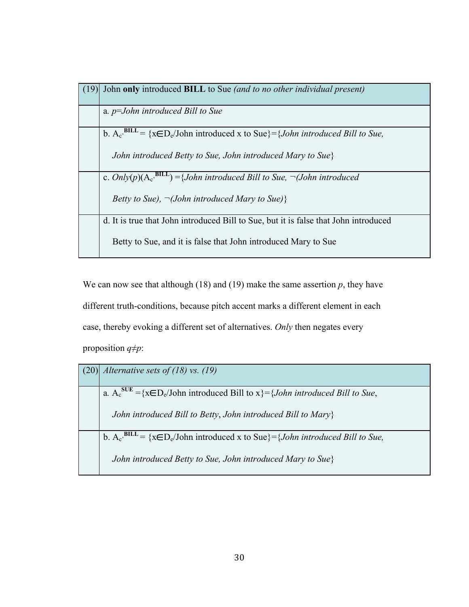| (19) | John only introduced BILL to Sue (and to no other individual present)                                            |
|------|------------------------------------------------------------------------------------------------------------------|
|      | a. $p=John$ introduced Bill to Sue                                                                               |
|      | b. $A_c$ <sup>BILL</sup> = {x $\epsilon D_c$ /John introduced x to Sue} = { <i>John introduced Bill to Sue</i> , |
|      | John introduced Betty to Sue, John introduced Mary to Sue}                                                       |
|      | c. $Only(p)(A_c, BILL) = {John introduced Bill to Sue, \neg (John introduced$                                    |
|      | Betty to Sue), $\neg$ (John introduced Mary to Sue)}                                                             |
|      | d. It is true that John introduced Bill to Sue, but it is false that John introduced                             |
|      | Betty to Sue, and it is false that John introduced Mary to Sue                                                   |

We can now see that although (18) and (19) make the same assertion  $p$ , they have different truth-conditions, because pitch accent marks a different element in each case, thereby evoking a different set of alternatives. *Only* then negates every proposition *q≠p*:

| $(20)$ <i>Alternative sets of (18) vs. (19)</i>                                                                           |
|---------------------------------------------------------------------------------------------------------------------------|
| a. $A_c^{SUE} = \{x \in D_e / \text{John introduced Bill to } x\} = \{John\ introduced\ Bill\ to\ Sue\},\$                |
| John introduced Bill to Betty, John introduced Bill to Mary                                                               |
| b. $A_c$ <sup>BILL</sup> = {x $\epsilon$ D <sub>e</sub> /John introduced x to Sue}={ <i>John introduced Bill to Sue</i> , |
| John introduced Betty to Sue, John introduced Mary to Sue}                                                                |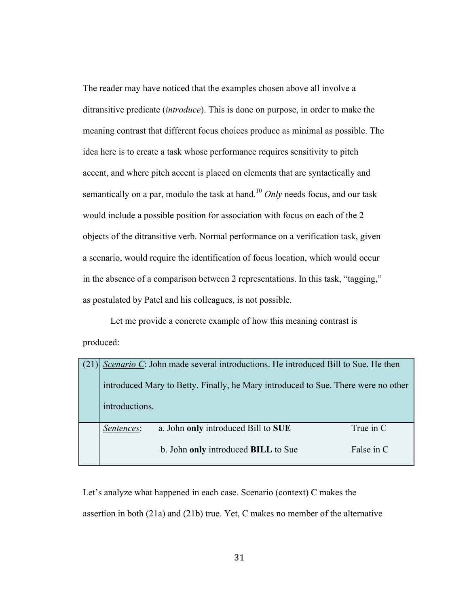The reader may have noticed that the examples chosen above all involve a ditransitive predicate (*introduce*). This is done on purpose, in order to make the meaning contrast that different focus choices produce as minimal as possible. The idea here is to create a task whose performance requires sensitivity to pitch accent, and where pitch accent is placed on elements that are syntactically and semantically on a par, modulo the task at hand.<sup>10</sup> *Only* needs focus, and our task would include a possible position for association with focus on each of the 2 objects of the ditransitive verb. Normal performance on a verification task, given a scenario, would require the identification of focus location, which would occur in the absence of a comparison between 2 representations. In this task, "tagging," as postulated by Patel and his colleagues, is not possible.

Let me provide a concrete example of how this meaning contrast is produced:

| (21) | Scenario C: John made several introductions. He introduced Bill to Sue. He then<br>introduced Mary to Betty. Finally, he Mary introduced to Sue. There were no other<br>introductions. |                                                                            |                         |  |  |
|------|----------------------------------------------------------------------------------------------------------------------------------------------------------------------------------------|----------------------------------------------------------------------------|-------------------------|--|--|
|      | Sentences:                                                                                                                                                                             | a. John only introduced Bill to SUE<br>b. John only introduced BILL to Sue | True in C<br>False in C |  |  |
|      |                                                                                                                                                                                        |                                                                            |                         |  |  |

Let's analyze what happened in each case. Scenario (context) C makes the assertion in both (21a) and (21b) true. Yet, C makes no member of the alternative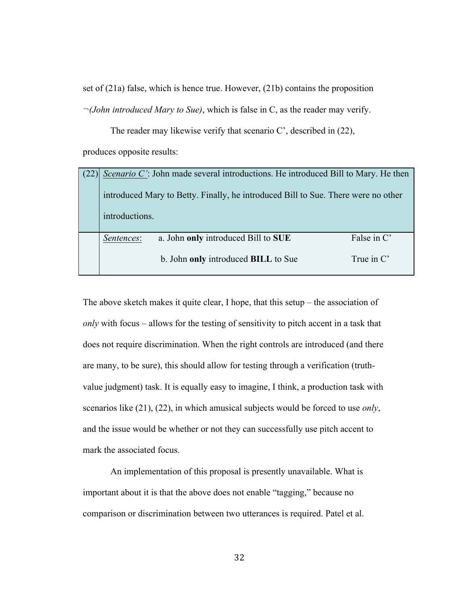set of (21a) false, which is hence true. However, (21b) contains the proposition *¬(John introduced Mary to Sue)*, which is false in C, as the reader may verify.

The reader may likewise verify that scenario C', described in (22), produces opposite results:

| introductions. | Scenario C': John made several introductions. He introduced Bill to Mary. He then<br>introduced Mary to Betty. Finally, he introduced Bill to Sue. There were no other |                             |
|----------------|------------------------------------------------------------------------------------------------------------------------------------------------------------------------|-----------------------------|
| Sentences:     | a. John only introduced Bill to SUE<br>b. John only introduced BILL to Sue                                                                                             | False in C'<br>True in $C'$ |

The above sketch makes it quite clear, I hope, that this setup – the association of *only* with focus – allows for the testing of sensitivity to pitch accent in a task that does not require discrimination. When the right controls are introduced (and there are many, to be sure), this should allow for testing through a verification (truthvalue judgment) task. It is equally easy to imagine, I think, a production task with scenarios like (21), (22), in which amusical subjects would be forced to use *only*, and the issue would be whether or not they can successfully use pitch accent to mark the associated focus.

An implementation of this proposal is presently unavailable. What is important about it is that the above does not enable "tagging," because no comparison or discrimination between two utterances is required. Patel et al.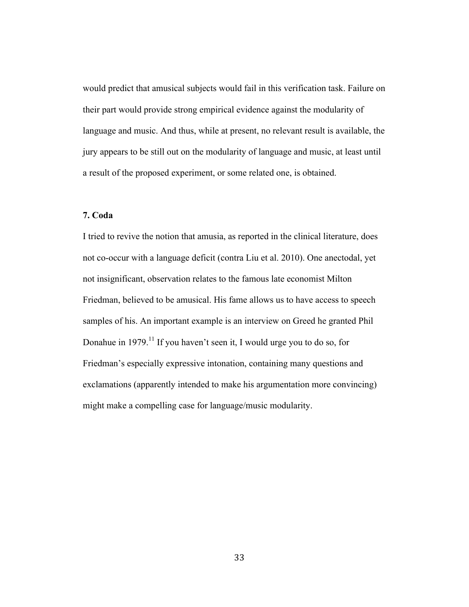would predict that amusical subjects would fail in this verification task. Failure on their part would provide strong empirical evidence against the modularity of language and music. And thus, while at present, no relevant result is available, the jury appears to be still out on the modularity of language and music, at least until a result of the proposed experiment, or some related one, is obtained.

## **7. Coda**

I tried to revive the notion that amusia, as reported in the clinical literature, does not co-occur with a language deficit (contra Liu et al. 2010). One anectodal, yet not insignificant, observation relates to the famous late economist Milton Friedman, believed to be amusical. His fame allows us to have access to speech samples of his. An important example is an interview on Greed he granted Phil Donahue in 1979.<sup>11</sup> If you haven't seen it, I would urge you to do so, for Friedman's especially expressive intonation, containing many questions and exclamations (apparently intended to make his argumentation more convincing) might make a compelling case for language/music modularity.

33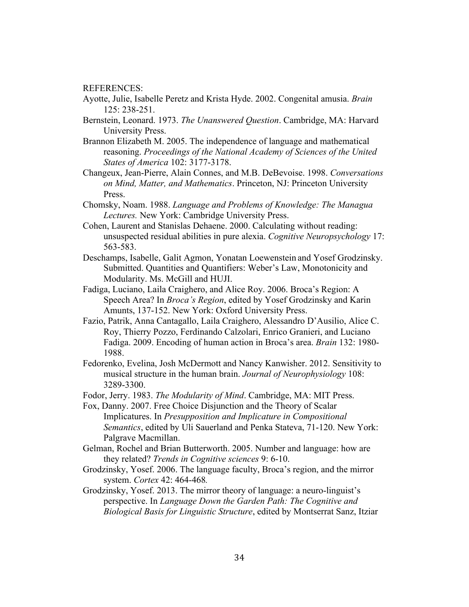REFERENCES:

- Ayotte, Julie, Isabelle Peretz and Krista Hyde. 2002. Congenital amusia. *Brain* 125: 238-251.
- Bernstein, Leonard. 1973. *The Unanswered Question*. Cambridge, MA: Harvard University Press.
- Brannon Elizabeth M. 2005. The independence of language and mathematical reasoning. *Proceedings of the National Academy of Sciences of the United States of America* 102: 3177-3178.
- Changeux, Jean-Pierre, Alain Connes, and M.B. DeBevoise. 1998. *Conversations on Mind, Matter, and Mathematics*. Princeton, NJ: Princeton University Press.
- Chomsky, Noam. 1988. *Language and Problems of Knowledge: The Managua Lectures.* New York: Cambridge University Press.
- Cohen, Laurent and Stanislas Dehaene. 2000. Calculating without reading: unsuspected residual abilities in pure alexia. *Cognitive Neuropsychology* 17: 563-583.
- Deschamps, Isabelle, Galit Agmon, Yonatan Loewenstein and Yosef Grodzinsky. Submitted. Quantities and Quantifiers: Weber's Law, Monotonicity and Modularity. Ms. McGill and HUJI.
- Fadiga, Luciano, Laila Craighero, and Alice Roy. 2006. Broca's Region: A Speech Area? In *Broca's Region*, edited by Yosef Grodzinsky and Karin Amunts, 137-152. New York: Oxford University Press.
- Fazio, Patrik, Anna Cantagallo, Laila Craighero, Alessandro D'Ausilio, Alice C. Roy, Thierry Pozzo, Ferdinando Calzolari, Enrico Granieri, and Luciano Fadiga. 2009. Encoding of human action in Broca's area. *Brain* 132: 1980- 1988.
- Fedorenko, Evelina, Josh McDermott and Nancy Kanwisher. 2012. Sensitivity to musical structure in the human brain. *Journal of Neurophysiology* 108: 3289-3300.
- Fodor, Jerry. 1983. *The Modularity of Mind*. Cambridge, MA: MIT Press.
- Fox, Danny. 2007. Free Choice Disjunction and the Theory of Scalar Implicatures. In *Presupposition and Implicature in Compositional Semantics*, edited by Uli Sauerland and Penka Stateva, 71-120. New York: Palgrave Macmillan.
- Gelman, Rochel and Brian Butterworth. 2005. Number and language: how are they related? *Trends in Cognitive sciences* 9: 6-10.
- Grodzinsky, Yosef. 2006. The language faculty, Broca's region, and the mirror system. *Cortex* 42: 464-468*.*
- Grodzinsky, Yosef. 2013. The mirror theory of language: a neuro-linguist's perspective. In *Language Down the Garden Path: The Cognitive and Biological Basis for Linguistic Structure*, edited by Montserrat Sanz, Itziar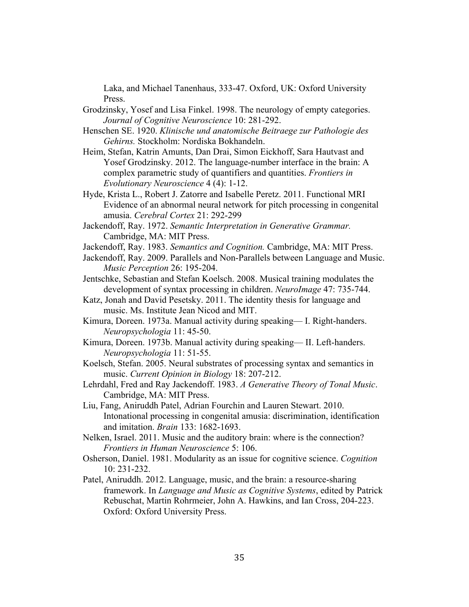Laka, and Michael Tanenhaus, 333-47. Oxford, UK: Oxford University Press.

- Grodzinsky, Yosef and Lisa Finkel. 1998. The neurology of empty categories. *Journal of Cognitive Neuroscience* 10: 281-292.
- Henschen SE. 1920. *Klinische und anatomische Beitraege zur Pathologie des Gehirns.* Stockholm: Nordiska Bokhandeln.
- Heim, Stefan, Katrin Amunts, Dan Drai, Simon Eickhoff, Sara Hautvast and Yosef Grodzinsky. 2012. The language-number interface in the brain: A complex parametric study of quantifiers and quantities. *Frontiers in Evolutionary Neuroscience* 4 (4): 1-12.
- Hyde, Krista L., Robert J. Zatorre and Isabelle Peretz. 2011. Functional MRI Evidence of an abnormal neural network for pitch processing in congenital amusia. *Cerebral Cortex* 21: 292-299
- Jackendoff, Ray. 1972. *Semantic Interpretation in Generative Grammar.* Cambridge, MA: MIT Press.
- Jackendoff, Ray. 1983. *Semantics and Cognition.* Cambridge, MA: MIT Press.
- Jackendoff, Ray. 2009. Parallels and Non-Parallels between Language and Music. *Music Perception* 26: 195-204.
- Jentschke, Sebastian and Stefan Koelsch. 2008. Musical training modulates the development of syntax processing in children. *NeuroImage* 47: 735-744.
- Katz, Jonah and David Pesetsky. 2011. The identity thesis for language and music. Ms. Institute Jean Nicod and MIT.
- Kimura, Doreen. 1973a. Manual activity during speaking— I. Right-handers. *Neuropsychologia* 11: 45-50.
- Kimura, Doreen. 1973b. Manual activity during speaking— II. Left-handers. *Neuropsychologia* 11: 51-55.
- Koelsch, Stefan. 2005. Neural substrates of processing syntax and semantics in music. *Current Opinion in Biology* 18: 207-212.
- Lehrdahl, Fred and Ray Jackendoff. 1983. *A Generative Theory of Tonal Music*. Cambridge, MA: MIT Press.
- Liu, Fang, Aniruddh Patel, Adrian Fourchin and Lauren Stewart. 2010. Intonational processing in congenital amusia: discrimination, identification and imitation. *Brain* 133: 1682-1693.
- Nelken, Israel. 2011. Music and the auditory brain: where is the connection? *Frontiers in Human Neuroscience* 5: 106.
- Osherson, Daniel. 1981. Modularity as an issue for cognitive science. *Cognition*  10: 231-232.
- Patel, Aniruddh. 2012. Language, music, and the brain: a resource-sharing framework. In *Language and Music as Cognitive Systems*, edited by Patrick Rebuschat, Martin Rohrmeier, John A. Hawkins, and Ian Cross, 204-223. Oxford: Oxford University Press.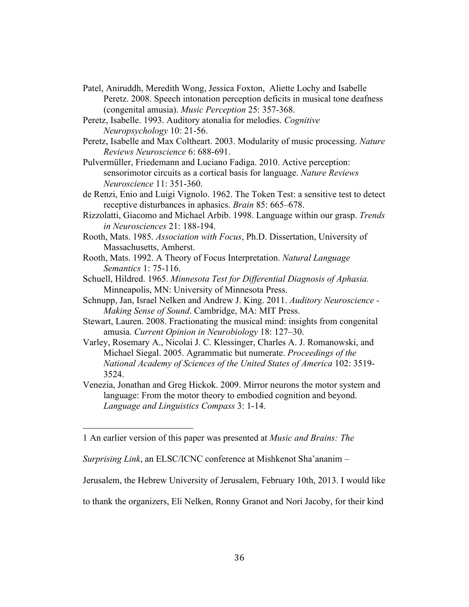- Patel, Aniruddh, Meredith Wong, Jessica Foxton, Aliette Lochy and Isabelle Peretz. 2008. Speech intonation perception deficits in musical tone deafness (congenital amusia). *Music Perception* 25: 357-368.
- Peretz, Isabelle. 1993. Auditory atonalia for melodies. *Cognitive Neuropsychology* 10: 21-56.
- Peretz, Isabelle and Max Coltheart. 2003. Modularity of music processing. *Nature Reviews Neuroscience* 6: 688-691.
- Pulvermüller, Friedemann and Luciano Fadiga. 2010. Active perception: sensorimotor circuits as a cortical basis for language. *Nature Reviews Neuroscience* 11: 351-360.
- de Renzi, Enio and Luigi Vignolo. 1962. The Token Test: a sensitive test to detect receptive disturbances in aphasics. *Brain* 85: 665–678.
- Rizzolatti, Giacomo and Michael Arbib. 1998. Language within our grasp. *Trends in Neurosciences* 21: 188-194.
- Rooth, Mats. 1985. *Association with Focus*, Ph.D. Dissertation, University of Massachusetts, Amherst.
- Rooth, Mats. 1992. A Theory of Focus Interpretation. *Natural Language Semantics* 1: 75-116.
- Schuell, Hildred. 1965. *Minnesota Test for Differential Diagnosis of Aphasia.*  Minneapolis, MN: University of Minnesota Press.
- Schnupp, Jan, Israel Nelken and Andrew J. King. 2011. *Auditory Neuroscience - Making Sense of Sound*. Cambridge, MA: MIT Press.
- Stewart, Lauren. 2008. Fractionating the musical mind: insights from congenital amusia. *Current Opinion in Neurobiology* 18: 127–30.
- Varley, Rosemary A., Nicolai J. C. Klessinger, Charles A. J. Romanowski, and Michael Siegal. 2005. Agrammatic but numerate. *Proceedings of the National Academy of Sciences of the United States of America* 102: 3519- 3524.

Venezia, Jonathan and Greg Hickok. 2009. Mirror neurons the motor system and language: From the motor theory to embodied cognition and beyond. *Language and Linguistics Compass* 3: 1-14.

 

Jerusalem, the Hebrew University of Jerusalem, February 10th, 2013. I would like

to thank the organizers, Eli Nelken, Ronny Granot and Nori Jacoby, for their kind

<sup>1</sup> An earlier version of this paper was presented at *Music and Brains: The* 

*Surprising Link*, an ELSC/ICNC conference at Mishkenot Sha'ananim –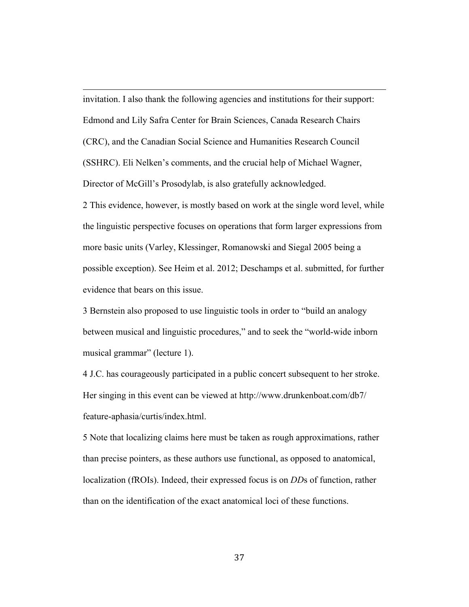invitation. I also thank the following agencies and institutions for their support: Edmond and Lily Safra Center for Brain Sciences, Canada Research Chairs (CRC), and the Canadian Social Science and Humanities Research Council (SSHRC). Eli Nelken's comments, and the crucial help of Michael Wagner, Director of McGill's Prosodylab, is also gratefully acknowledged.

<u> 1989 - Johann Stein, marwolaethau a bhann an chomhair an chomhair an chomhair an chomhair an chomhair an chom</u>

2 This evidence, however, is mostly based on work at the single word level, while the linguistic perspective focuses on operations that form larger expressions from more basic units (Varley, Klessinger, Romanowski and Siegal 2005 being a possible exception). See Heim et al. 2012; Deschamps et al. submitted, for further evidence that bears on this issue.

3 Bernstein also proposed to use linguistic tools in order to "build an analogy between musical and linguistic procedures," and to seek the "world-wide inborn musical grammar" (lecture 1).

4 J.C. has courageously participated in a public concert subsequent to her stroke. Her singing in this event can be viewed at http://www.drunkenboat.com/db7/ feature-aphasia/curtis/index.html.

5 Note that localizing claims here must be taken as rough approximations, rather than precise pointers, as these authors use functional, as opposed to anatomical, localization (fROIs). Indeed, their expressed focus is on *DD*s of function, rather than on the identification of the exact anatomical loci of these functions.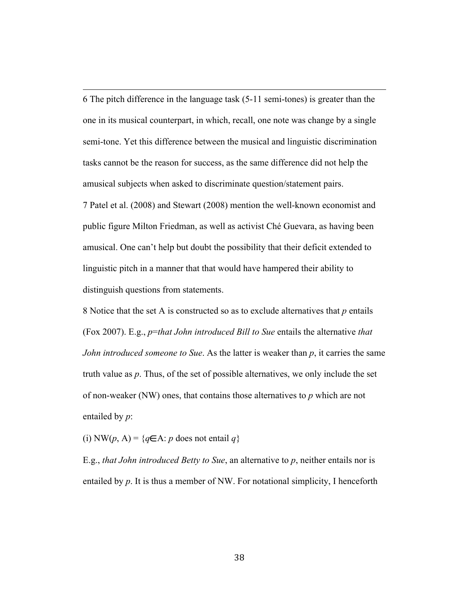6 The pitch difference in the language task (5-11 semi-tones) is greater than the one in its musical counterpart, in which, recall, one note was change by a single semi-tone. Yet this difference between the musical and linguistic discrimination tasks cannot be the reason for success, as the same difference did not help the amusical subjects when asked to discriminate question/statement pairs.

<u> 1989 - Johann Stein, marwolaethau a bhann an chomhair an chomhair an chomhair an chomhair an chomhair an chom</u>

7 Patel et al. (2008) and Stewart (2008) mention the well-known economist and public figure Milton Friedman, as well as activist Ché Guevara, as having been amusical. One can't help but doubt the possibility that their deficit extended to linguistic pitch in a manner that that would have hampered their ability to distinguish questions from statements.

8 Notice that the set A is constructed so as to exclude alternatives that *p* entails (Fox 2007). E.g., *p*=*that John introduced Bill to Sue* entails the alternative *that John introduced someone to Sue*. As the latter is weaker than *p*, it carries the same truth value as *p*. Thus, of the set of possible alternatives, we only include the set of non-weaker (NW) ones, that contains those alternatives to *p* which are not entailed by *p*:

(i) NW(*p*, A) = { $q \in A$ : *p* does not entail  $q$ }

E.g., *that John introduced Betty to Sue*, an alternative to *p*, neither entails nor is entailed by p. It is thus a member of NW. For notational simplicity, I henceforth